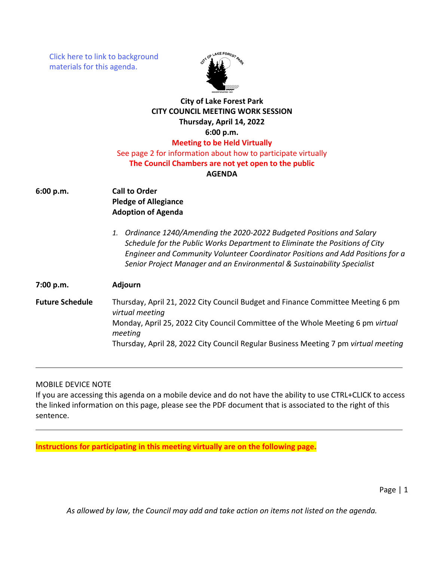[Click here to link to background](https://media.avcaptureall.cloud/meeting/59a14e48-23fd-4c9d-90a6-1e74fb3336f7) materials for this agenda.



## **City of Lake Forest Park CITY COUNCIL MEETING WORK SESSION Thursday, April 14, 2022 6:00 p.m. Meeting to be Held Virtually** See page 2 for information about how to participate virtually **The Council Chambers are not yet open to the public AGENDA**

- **6:00 p.m. Call to Order Pledge of Allegiance Adoption of Agenda**
	- *1. Ordinance 1240/Amending the 2020-2022 Budgeted Positions and Salary Schedule for the Public Works Department to Eliminate the Positions of City Engineer and Community Volunteer Coordinator Positions and Add Positions for a Senior Project Manager and an Environmental & Sustainability Specialist*

**Future Schedule** Thursday, April 21, 2022 City Council Budget and Finance Committee Meeting 6 pm *virtual meeting* Monday, April 25, 2022 City Council Committee of the Whole Meeting 6 pm *virtual meeting* Thursday, April 28, 2022 City Council Regular Business Meeting 7 pm *virtual meeting*

## MOBILE DEVICE NOTE

**7:00 p.m. Adjourn**

If you are accessing this agenda on a mobile device and do not have the ability to use CTRL+CLICK to access the linked information on this page, please see the PDF document that is associated to the right of this sentence.

**Instructions for participating in this meeting virtually are on the following page.**

Page | 1

*As allowed by law, the Council may add and take action on items not listed on the agenda.*